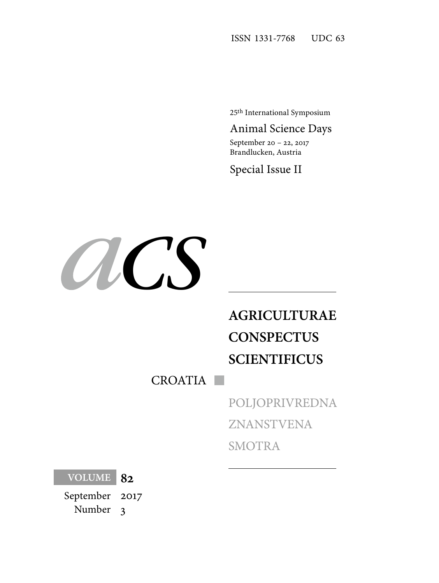25th International Symposium

## Animal Science Days

September 20 – 22, 2017 Brandlucken, Austria

Special Issue II



# **AGRICULTURAE CONSPECTUS SCIENTIFICUS**

CROATIA

POLJOPRIVREDNA ZNANSTVENA SMOTRA

**VOLUME 82**

September Number 2017 3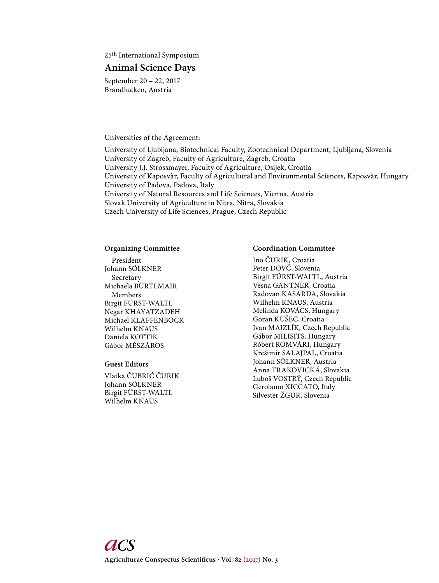25th International Symposium

## **Animal Science Days**

September 20 – 22, 2017 Brandlucken, Austria

Universities of the Agreement:

University of Ljubljana, Biotechnical Faculty, Zootechnical Department, Ljubljana, Slovenia University of Zagreb, Faculty of Agriculture, Zagreb, Croatia University J.J. Strossmayer, Faculty of Agriculture, Osijek, Croatia University of Kaposvàr, Faculty of Agricultural and Environmental Sciences, Kaposvàr, Hungary University of Padova, Padova, Italy University of Natural Resources and Life Sciences, Vienna, Austria Slovak University of Agriculture in Nitra, Nitra, Slovakia Czech University of Life Sciences, Prague, Czech Republic

#### **Organizing Committee**

 President Johann SÖLKNER Secretary Michaela BÜRTLMAIR Members Birgit FÜRST-WALTL Negar KHAYATZADEH Michael KLAFFENBÖCK Wilhelm KNAUS Daniela KOTTIK Gàbor MÉSZÀROS

### **Guest Editors**

Vlatka ČUBRIĆ ČURIK Johann SÖLKNER Birgit FÜRST-WALTL Wilhelm KNAUS

#### **Coordination Committee**

Ino ČURIK, Croatia Peter DOVČ, Slovenia Birgit FÜRST-WALTL, Austria Vesna GANTNER, Croatia Radovan KASARDA, Slovakia Wilhelm KNAUS, Austria Melinda KOVÁCS, Hungary Goran KUŠEC, Croatia Ivan MAJZLÍK, Czech Republic Gábor MILISITS, Hungary Róbert ROMVÁRI, Hungary Krešimir SALAJPAL, Croatia Johann SÖLKNER, Austria Anna TRAKOVICKÁ, Slovakia Luboš VOSTRÝ, Czech Republic Gerolamo XICCATO, Italy Silvester ŽGUR, Slovenia